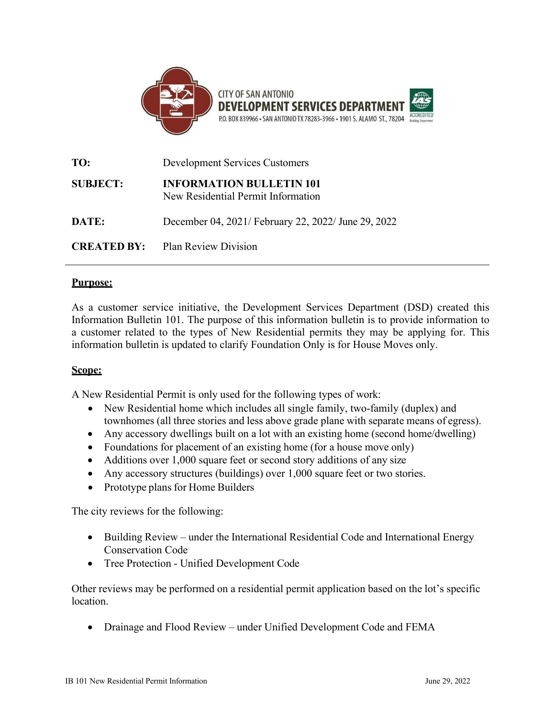

| TO:             | <b>Development Services Customers</b>                                 |
|-----------------|-----------------------------------------------------------------------|
| <b>SUBJECT:</b> | <b>INFORMATION BULLETIN 101</b><br>New Residential Permit Information |
| DATE:           | December 04, 2021/ February 22, 2022/ June 29, 2022                   |
|                 | <b>CREATED BY:</b> Plan Review Division                               |

#### **Purpose:**

As a customer service initiative, the Development Services Department (DSD) created this Information Bulletin 101. The purpose of this information bulletin is to provide information to a customer related to the types of New Residential permits they may be applying for. This information bulletin is updated to clarify Foundation Only is for House Moves only.

#### **Scope:**

A New Residential Permit is only used for the following types of work:

- New Residential home which includes all single family, two-family (duplex) and townhomes (all three stories and less above grade plane with separate means of egress).
- Any accessory dwellings built on a lot with an existing home (second home/dwelling)
- Foundations for placement of an existing home (for a house move only)
- Additions over 1,000 square feet or second story additions of any size
- Any accessory structures (buildings) over 1,000 square feet or two stories.
- Prototype plans for Home Builders

The city reviews for the following:

- Building Review under the International Residential Code and International Energy Conservation Code
- Tree Protection Unified Development Code

Other reviews may be performed on a residential permit application based on the lot's specific location.

• Drainage and Flood Review – under Unified Development Code and FEMA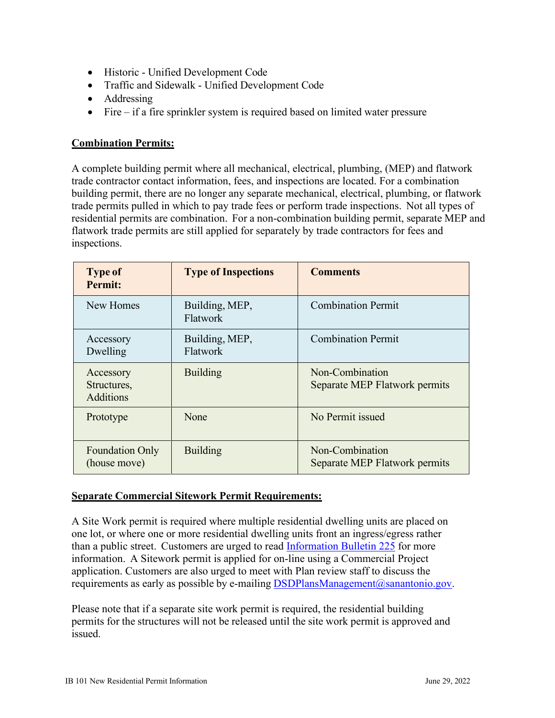- Historic Unified Development Code
- Traffic and Sidewalk Unified Development Code
- Addressing
- Fire if a fire sprinkler system is required based on limited water pressure

## **Combination Permits:**

A complete building permit where all mechanical, electrical, plumbing, (MEP) and flatwork trade contractor contact information, fees, and inspections are located. For a combination building permit, there are no longer any separate mechanical, electrical, plumbing, or flatwork trade permits pulled in which to pay trade fees or perform trade inspections. Not all types of residential permits are combination. For a non-combination building permit, separate MEP and flatwork trade permits are still applied for separately by trade contractors for fees and inspections.

| <b>Type of</b><br>Permit:                    | <b>Type of Inspections</b> | <b>Comments</b>                                         |
|----------------------------------------------|----------------------------|---------------------------------------------------------|
| New Homes                                    | Building, MEP,<br>Flatwork | <b>Combination Permit</b>                               |
| Accessory<br>Dwelling                        | Building, MEP,<br>Flatwork | <b>Combination Permit</b>                               |
| Accessory<br>Structures,<br><b>Additions</b> | <b>Building</b>            | Non-Combination<br><b>Separate MEP Flatwork permits</b> |
| Prototype                                    | None                       | No Permit issued                                        |
| <b>Foundation Only</b><br>(house move)       | <b>Building</b>            | Non-Combination<br><b>Separate MEP Flatwork permits</b> |

## **Separate Commercial Sitework Permit Requirements:**

A Site Work permit is required where multiple residential dwelling units are placed on one lot, or where one or more residential dwelling units front an ingress/egress rather than a public street. Customers are urged to read [Information Bulletin 225](http://docsonline.sanantonio.gov/FileUploads/dsd/IB225.pdf) for more information. A Sitework permit is applied for on-line using a Commercial Project application. Customers are also urged to meet with Plan review staff to discuss the requirements as early as possible by e-mailing [DSDPlansManagement@sanantonio.gov.](mailto:DSDPlansManagement@sanantonio.gov)

Please note that if a separate site work permit is required, the residential building permits for the structures will not be released until the site work permit is approved and issued.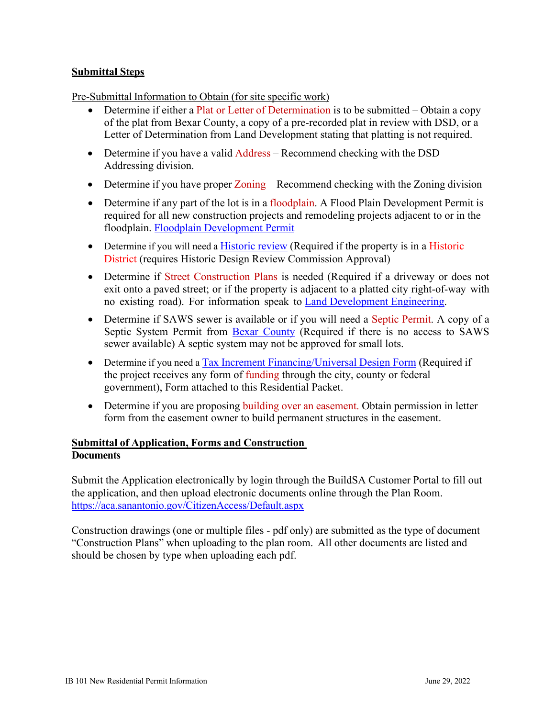## **Submittal Steps**

Pre-Submittal Information to Obtain (for site specific work)

- Determine if either a Plat or Letter of Determination is to be submitted Obtain a copy of the plat from Bexar County, a copy of a pre-recorded plat in review with DSD, or a Letter of Determination from Land Development stating that platting is not required.
- Determine if you have a valid Address Recommend checking with the DSD Addressing division.
- Determine if you have proper Zoning Recommend checking with the Zoning division
- Determine if any part of the lot is in a floodplain. A Flood Plain Development Permit is required for all new construction projects and remodeling projects adjacent to or in the floodplain. [Floodplain Development Permit](http://docsonline.sanantonio.gov/FileUploads/dsd/flooplain_permit.pdf)
- Determine if you will need a [Historic](http://www.sanantonio.gov/historic/) review (Required if the property is in a Historic District (requires Historic Design Review Commission Approval)
- Determine if Street Construction Plans is needed (Required if a driveway or does not exit onto a paved street; or if the property is adjacent to a platted city right-of-way with no existing road). For information speak to [Land Development Engineering.](http://www.sanantonio.gov/DSD/Constructing/Land.aspx#146501323-infrastructure)
- Determine if SAWS sewer is available or if you will need a Septic Permit. A copy of a Septic System Permit from [Bexar County](http://inf.bexar.org/infracitizen.asp) (Required if there is no access to SAWS sewer available) A septic system may not be approved for small lots.
- Determine if you need a Tax [Increment Financing/Universal Design](http://docsonline.sanantonio.gov/FileUploads/dsd/universal_design_form.pdf) Form (Required if the project receives any form of funding through the city, county or federal government), Form attached to this Residential Packet.
- Determine if you are proposing building over an easement. Obtain permission in letter form from the easement owner to build permanent structures in the easement.

## **Submittal of Application, Forms and Construction Documents**

Submit the Application electronically by login through the BuildSA Customer Portal to fill out the application, and then upload electronic documents online through the Plan Room. <https://aca.sanantonio.gov/CitizenAccess/Default.aspx>

Construction drawings (one or multiple files - pdf only) are submitted as the type of document "Construction Plans" when uploading to the plan room. All other documents are listed and should be chosen by type when uploading each pdf.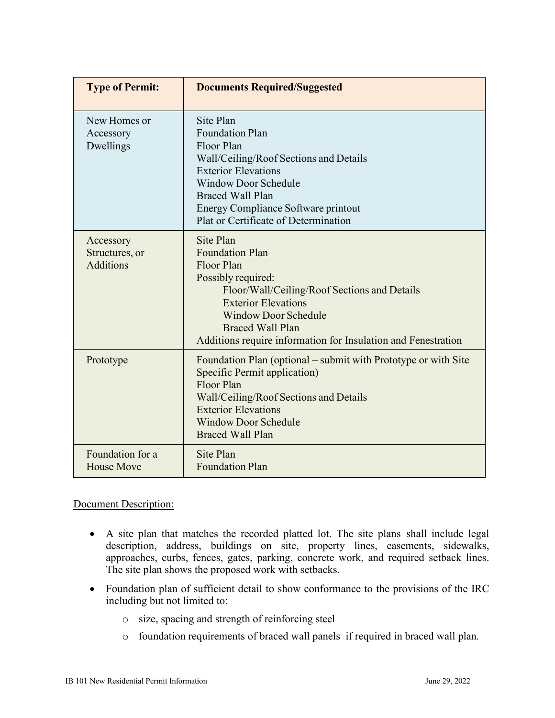| <b>Type of Permit:</b>                          | <b>Documents Required/Suggested</b>                                                                                                                                                                                                                                              |
|-------------------------------------------------|----------------------------------------------------------------------------------------------------------------------------------------------------------------------------------------------------------------------------------------------------------------------------------|
| New Homes or<br>Accessory<br>Dwellings          | Site Plan<br>Foundation Plan<br>Floor Plan<br>Wall/Ceiling/Roof Sections and Details<br><b>Exterior Elevations</b><br><b>Window Door Schedule</b><br><b>Braced Wall Plan</b><br>Energy Compliance Software printout<br>Plat or Certificate of Determination                      |
| Accessory<br>Structures, or<br><b>Additions</b> | Site Plan<br><b>Foundation Plan</b><br>Floor Plan<br>Possibly required:<br>Floor/Wall/Ceiling/Roof Sections and Details<br><b>Exterior Elevations</b><br><b>Window Door Schedule</b><br><b>Braced Wall Plan</b><br>Additions require information for Insulation and Fenestration |
| Prototype                                       | Foundation Plan (optional – submit with Prototype or with Site<br><b>Specific Permit application)</b><br>Floor Plan<br>Wall/Ceiling/Roof Sections and Details<br><b>Exterior Elevations</b><br><b>Window Door Schedule</b><br><b>Braced Wall Plan</b>                            |
| Foundation for a<br><b>House Move</b>           | Site Plan<br><b>Foundation Plan</b>                                                                                                                                                                                                                                              |

#### Document Description:

- A site plan that matches the recorded platted lot. The site plans shall include legal description, address, buildings on site, property lines, easements, sidewalks, approaches, curbs, fences, gates, parking, concrete work, and required setback lines. The site plan shows the proposed work with setbacks.
- Foundation plan of sufficient detail to show conformance to the provisions of the IRC including but not limited to:
	- o size, spacing and strength of reinforcing steel
	- o foundation requirements of braced wall panels if required in braced wall plan.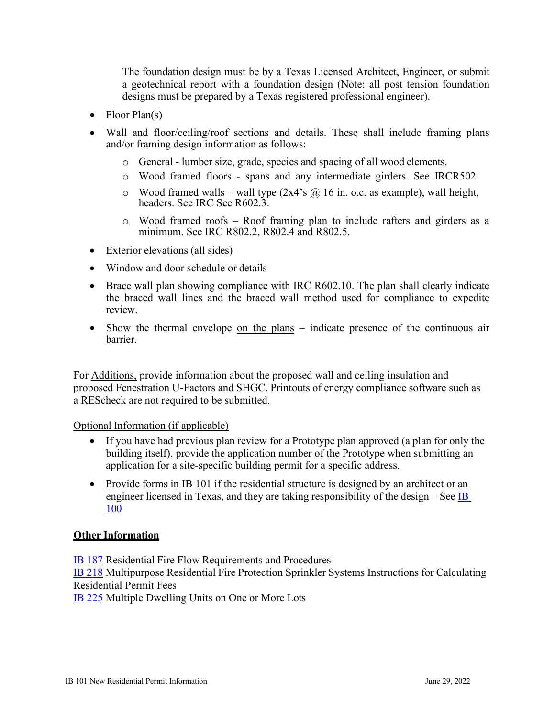The foundation design must be by a Texas Licensed Architect, Engineer, or submit a geotechnical report with a foundation design (Note: all post tension foundation designs must be prepared by a Texas registered professional engineer).

- Floor  $Plan(s)$
- Wall and floor/ceiling/roof sections and details. These shall include framing plans and/or framing design information as follows:
	- o General lumber size, grade, species and spacing of all wood elements.
	- o Wood framed floors spans and any intermediate girders. See IRCR502.
	- $\circ$  Wood framed walls wall type (2x4's @ 16 in. o.c. as example), wall height, headers. See IRC See R602.3.
	- o Wood framed roofs Roof framing plan to include rafters and girders as a minimum. See IRC R802.2, R802.4 and R802.5.
- Exterior elevations (all sides)
- Window and door schedule or details
- Brace wall plan showing compliance with IRC R602.10. The plan shall clearly indicate the braced wall lines and the braced wall method used for compliance to expedite review.
- Show the thermal envelope on the plans indicate presence of the continuous air barrier.

For Additions, provide information about the proposed wall and ceiling insulation and proposed Fenestration U-Factors and SHGC. Printouts of energy compliance software such as a REScheck are not required to be submitted.

## Optional Information (if applicable)

- If you have had previous plan review for a Prototype plan approved (a plan for only the building itself), provide the application number of the Prototype when submitting an application for a site-specific building permit for a specific address.
- Provide forms in IB 101 if the residential structure is designed by an architect or an engineer licensed in Texas, and they are taking responsibility of the design – See [IB](http://docsonline.sanantonio.gov/FileUploads/dsd/IB100.pdf)  [100](http://docsonline.sanantonio.gov/FileUploads/dsd/IB100.pdf)

## **Other Information**

[IB 187](http://docsonline.sanantonio.gov/FileUploads/dsd/IB187.pdf) Residential Fire Flow Requirements and Procedures

**[IB 218](http://docsonline.sanantonio.gov/FileUploads/dsd/IB218.pdf)** Multipurpose Residential Fire Protection Sprinkler Systems Instructions for Calculating Residential Permit Fees

[IB 225](http://docsonline.sanantonio.gov/FileUploads/dsd/IB225.pdf) Multiple Dwelling Units on One or More Lots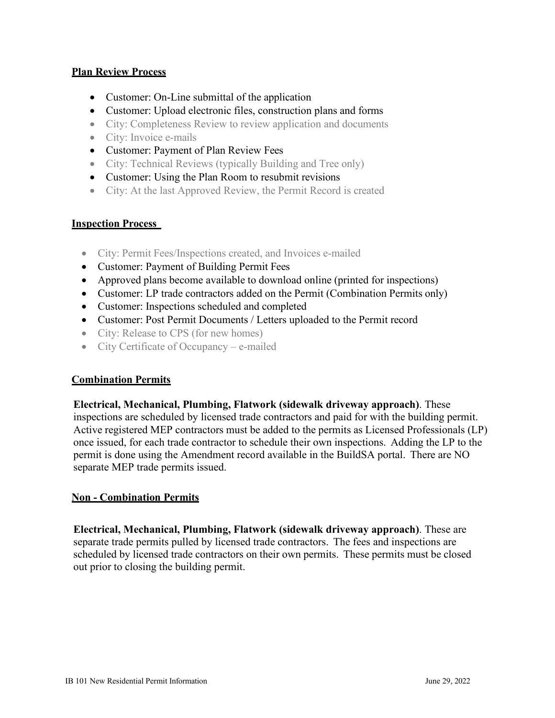#### **Plan Review Process**

- Customer: On-Line submittal of the application
- Customer: Upload electronic files, construction plans and forms
- City: Completeness Review to review application and documents
- City: Invoice e-mails
- Customer: Payment of Plan Review Fees
- City: Technical Reviews (typically Building and Tree only)
- Customer: Using the Plan Room to resubmit revisions
- City: At the last Approved Review, the Permit Record is created

#### **Inspection Process**

- City: Permit Fees/Inspections created, and Invoices e-mailed
- Customer: Payment of Building Permit Fees
- Approved plans become available to download online (printed for inspections)
- Customer: LP trade contractors added on the Permit (Combination Permits only)
- Customer: Inspections scheduled and completed
- Customer: Post Permit Documents / Letters uploaded to the Permit record
- City: Release to CPS (for new homes)
- City Certificate of Occupancy e-mailed

#### **Combination Permits**

**Electrical, Mechanical, Plumbing, Flatwork (sidewalk driveway approach)**. These inspections are scheduled by licensed trade contractors and paid for with the building permit. Active registered MEP contractors must be added to the permits as Licensed Professionals (LP) once issued, for each trade contractor to schedule their own inspections. Adding the LP to the permit is done using the Amendment record available in the BuildSA portal. There are NO separate MEP trade permits issued.

## **Non - Combination Permits**

**Electrical, Mechanical, Plumbing, Flatwork (sidewalk driveway approach)**. These are separate trade permits pulled by licensed trade contractors. The fees and inspections are scheduled by licensed trade contractors on their own permits. These permits must be closed out prior to closing the building permit.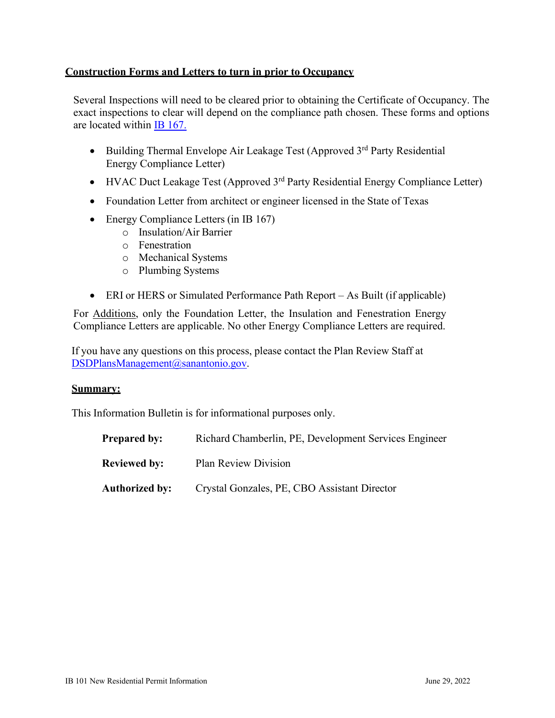## **Construction Forms and Letters to turn in prior to Occupancy**

Several Inspections will need to be cleared prior to obtaining the Certificate of Occupancy. The exact inspections to clear will depend on the compliance path chosen. These forms and options are located within [IB 167.](http://docsonline.sanantonio.gov/FileUploads/dsd/IB167.pdf)

- Building Thermal Envelope Air Leakage Test (Approved 3<sup>rd</sup> Party Residential Energy Compliance Letter)
- HVAC Duct Leakage Test (Approved  $3<sup>rd</sup>$  Party Residential Energy Compliance Letter)
- Foundation Letter from architect or engineer licensed in the State of Texas
- Energy Compliance Letters (in IB 167)
	- o Insulation/Air Barrier
	- o Fenestration
	- o Mechanical Systems
	- o Plumbing Systems
- ERI or HERS or Simulated Performance Path Report As Built (if applicable)

For Additions, only the Foundation Letter, the Insulation and Fenestration Energy Compliance Letters are applicable. No other Energy Compliance Letters are required.

If you have any questions on this process, please contact the Plan Review Staff at [DSDPlansManagement@sanantonio.gov.](mailto:DSDPlansManagement@sanantonio.gov)

#### **Summary:**

This Information Bulletin is for informational purposes only.

| <b>Prepared by:</b> | Richard Chamberlin, PE, Development Services Engineer |
|---------------------|-------------------------------------------------------|
| <b>Reviewed by:</b> | Plan Review Division                                  |
| Authorized by:      | Crystal Gonzales, PE, CBO Assistant Director          |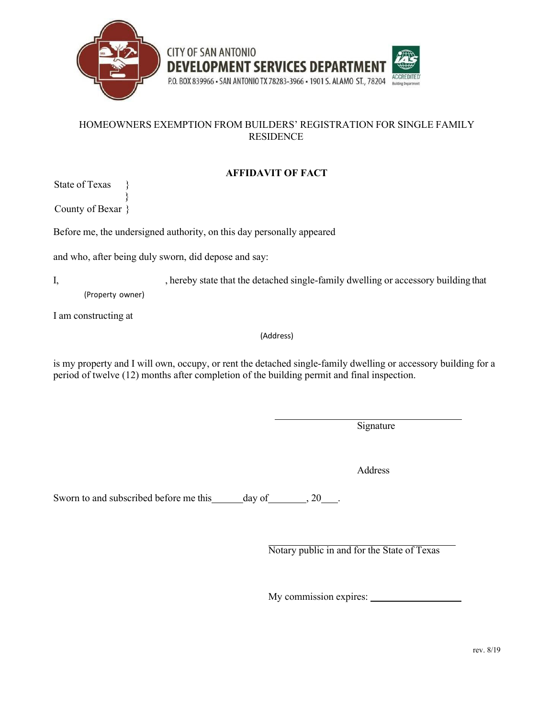



## HOMEOWNERS EXEMPTION FROM BUILDERS' REGISTRATION FOR SINGLE FAMILY RESIDENCE

# **AFFIDAVIT OF FACT**

State of Texas

} County of Bexar }

Before me, the undersigned authority, on this day personally appeared

and who, after being duly sworn, did depose and say:

I, hereby state that the detached single-family dwelling or accessory building that (Property owner)

I am constructing at

(Address)

is my property and I will own, occupy, or rent the detached single-family dwelling or accessory building for a period of twelve (12) months after completion of the building permit and final inspection.

**Signature** 

Address

Sworn to and subscribed before me this day of , 20 .

Notary public in and for the State of Texas

My commission expires: